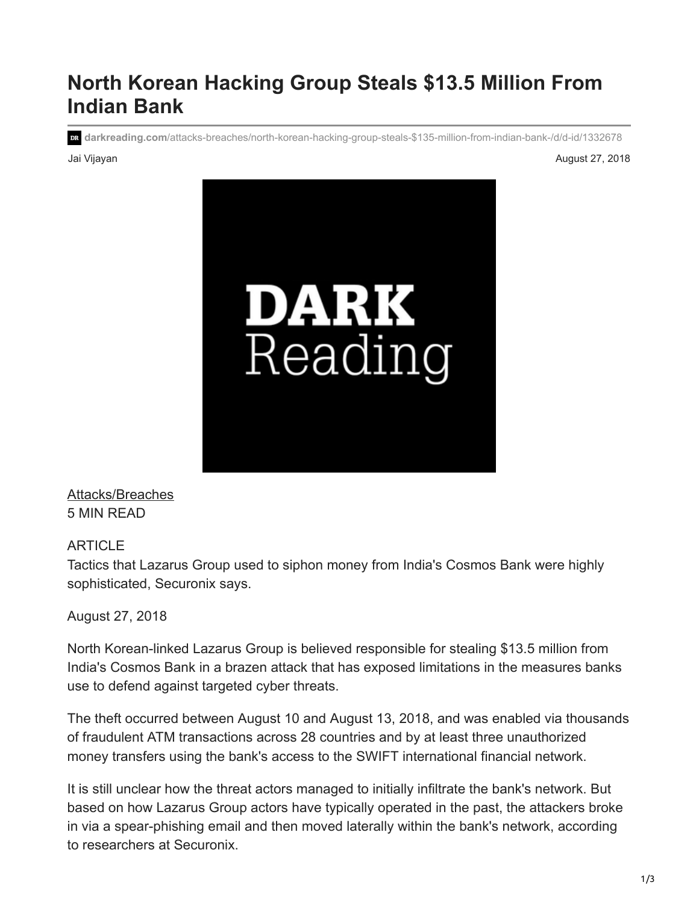# **North Korean Hacking Group Steals \$13.5 Million From Indian Bank**

**darkreading.com**[/attacks-breaches/north-korean-hacking-group-steals-\\$135-million-from-indian-bank-/d/d-id/1332678](https://www.darkreading.com/attacks-breaches/north-korean-hacking-group-steals-$135-million-from-indian-bank-/d/d-id/1332678)

Jai Vijayan August 27, 2018



[Attacks/Breaches](https://www.darkreading.com/attacks-breaches) 5 MIN READ

### ARTICLE

Tactics that Lazarus Group used to siphon money from India's Cosmos Bank were highly sophisticated, Securonix says.

August 27, 2018

North Korean-linked Lazarus Group is believed responsible for stealing \$13.5 million from India's Cosmos Bank in a brazen attack that has exposed limitations in the measures banks use to defend against targeted cyber threats.

The theft occurred between August 10 and August 13, 2018, and was enabled via thousands of fraudulent ATM transactions across 28 countries and by at least three unauthorized money transfers using the bank's access to the SWIFT international financial network.

It is still unclear how the threat actors managed to initially infiltrate the bank's network. But based on how Lazarus Group actors have typically operated in the past, the attackers broke in via a spear-phishing email and then moved laterally within the bank's network, according to researchers at Securonix.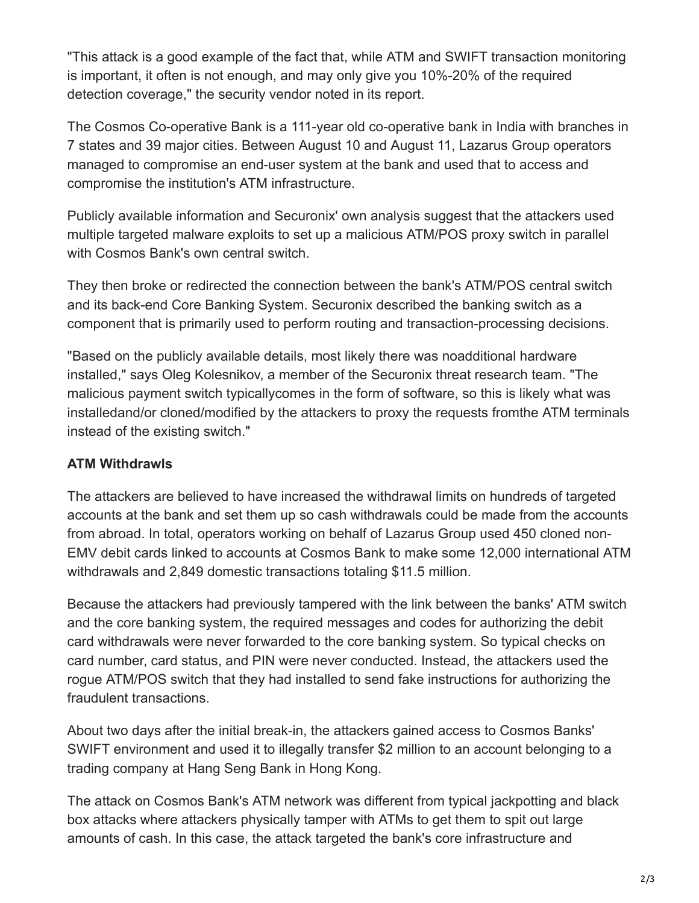"This attack is a good example of the fact that, while ATM and SWIFT transaction monitoring is important, it often is not enough, and may only give you 10%-20% of the required detection coverage," the security vendor noted in its report.

The Cosmos Co-operative Bank is a 111-year old co-operative bank in India with branches in 7 states and 39 major cities. Between August 10 and August 11, Lazarus Group operators managed to compromise an end-user system at the bank and used that to access and compromise the institution's ATM infrastructure.

Publicly available information and Securonix' own analysis suggest that the attackers used multiple targeted malware exploits to set up a malicious ATM/POS proxy switch in parallel with Cosmos Bank's own central switch.

They then broke or redirected the connection between the bank's ATM/POS central switch and its back-end Core Banking System. Securonix described the banking switch as a component that is primarily used to perform routing and transaction-processing decisions.

"Based on the publicly available details, most likely there was noadditional hardware installed," says Oleg Kolesnikov, a member of the Securonix threat research team. "The malicious payment switch typicallycomes in the form of software, so this is likely what was installedand/or cloned/modified by the attackers to proxy the requests fromthe ATM terminals instead of the existing switch."

# **ATM Withdrawls**

The attackers are believed to have increased the withdrawal limits on hundreds of targeted accounts at the bank and set them up so cash withdrawals could be made from the accounts from abroad. In total, operators working on behalf of Lazarus Group used 450 cloned non-EMV debit cards linked to accounts at Cosmos Bank to make some 12,000 international ATM withdrawals and 2,849 domestic transactions totaling \$11.5 million.

Because the attackers had previously tampered with the link between the banks' ATM switch and the core banking system, the required messages and codes for authorizing the debit card withdrawals were never forwarded to the core banking system. So typical checks on card number, card status, and PIN were never conducted. Instead, the attackers used the rogue ATM/POS switch that they had installed to send fake instructions for authorizing the fraudulent transactions.

About two days after the initial break-in, the attackers gained access to Cosmos Banks' SWIFT environment and used it to illegally transfer \$2 million to an account belonging to a trading company at Hang Seng Bank in Hong Kong.

The attack on Cosmos Bank's ATM network was different from typical jackpotting and black box attacks where attackers physically tamper with ATMs to get them to spit out large amounts of cash. In this case, the attack targeted the bank's core infrastructure and